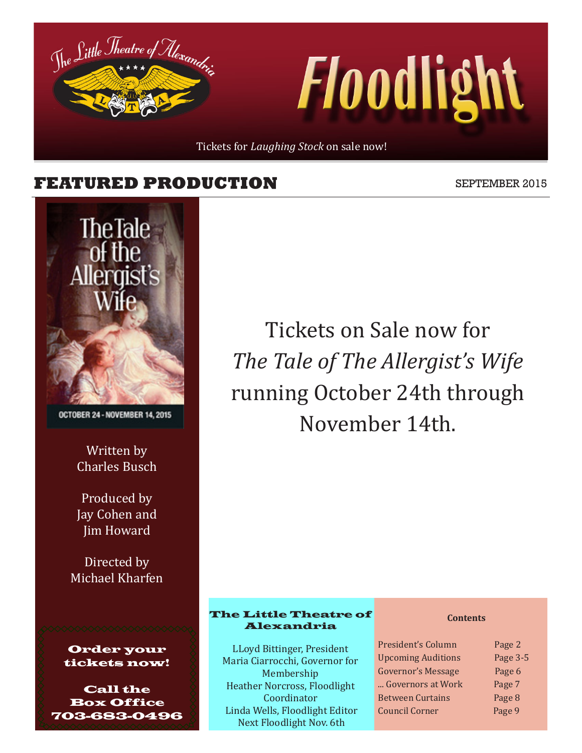Tickets for *Laughing Stock* on sale now!

### **FEATURED PRODUCTION** SEPTEMBER 2015

The Little Theatre of Alexandr



OCTOBER 24 - NOVEMBER 14, 2015

Written by Charles Busch

Produced by Jay Cohen and Jim Howard

Directed by Michael Kharfen



Call the Box Office 703-683-0496

Tickets on Sale now for *The Tale of The Allergist's Wife* running October 24th through November 14th.

*Floodlight* 

#### The Little Theatre of Alexandria

LLoyd Bittinger, President Maria Ciarrocchi, Governor for Membership Heather Norcross, Floodlight Coordinator Linda Wells, Floodlight Editor Next Floodlight Nov. 6th

#### **Contents**

President's Column Page 2 Upcoming Auditions Page 3-5 Governor's Message Page 6 ... Governors at Work Page 7 Between Curtains Page 8 Council Corner Page 9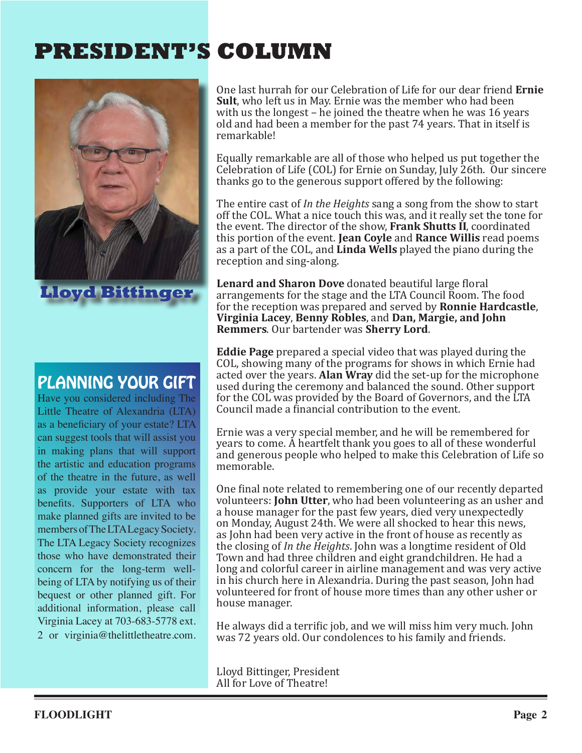# **PRESIDENT'S COLUMN**



**Lloyd Bittinger**

## PLANNING YOUR GIFT

Have you considered including The Little Theatre of Alexandria (LTA) as a beneficiary of your estate? LTA can suggest tools that will assist you in making plans that will support the artistic and education programs of the theatre in the future, as well as provide your estate with tax benefits. Supporters of LTA who make planned gifts are invited to be members of The LTA Legacy Society. The LTA Legacy Society recognizes those who have demonstrated their concern for the long-term wellbeing of LTA by notifying us of their bequest or other planned gift. For additional information, please call Virginia Lacey at 703-683-5778 ext. 2 or virginia@thelittletheatre.com. One last hurrah for our Celebration of Life for our dear friend **Ernie Sult**, who left us in May. Ernie was the member who had been with us the longest – he joined the theatre when he was 16 years old and had been a member for the past 74 years. That in itself is remarkable!

Equally remarkable are all of those who helped us put together the Celebration of Life (COL) for Ernie on Sunday, July 26th. Our sincere thanks go to the generous support offered by the following:

The entire cast of *In the Heights* sang a song from the show to start off the COL. What a nice touch this was, and it really set the tone for the event. The director of the show, **Frank Shutts II**, coordinated this portion of the event. **Jean Coyle** and **Rance Willis** read poems as a part of the COL, and **Linda Wells** played the piano during the reception and sing-along.

**Lenard and Sharon Dove** donated beautiful large floral arrangements for the stage and the LTA Council Room. The food for the reception was prepared and served by **Ronnie Hardcastle**, **Virginia Lacey**, **Benny Robles**, and **Dan, Margie, and John Remmers**. Our bartender was **Sherry Lord**.

**Eddie Page** prepared a special video that was played during the COL, showing many of the programs for shows in which Ernie had acted over the years. **Alan Wray** did the set-up for the microphone used during the ceremony and balanced the sound. Other support for the COL was provided by the Board of Governors, and the LTA Council made a financial contribution to the event.

Ernie was a very special member, and he will be remembered for years to come. A heartfelt thank you goes to all of these wonderful and generous people who helped to make this Celebration of Life so memorable.

One final note related to remembering one of our recently departed volunteers: **John Utter**, who had been volunteering as an usher and a house manager for the past few years, died very unexpectedly on Monday, August 24th. We were all shocked to hear this news, as John had been very active in the front of house as recently as the closing of *In the Heights*. John was a longtime resident of Old Town and had three children and eight grandchildren. He had a long and colorful career in airline management and was very active in his church here in Alexandria. During the past season, John had volunteered for front of house more times than any other usher or house manager.

He always did a terrific job, and we will miss him very much. John was 72 years old. Our condolences to his family and friends.

Lloyd Bittinger, President All for Love of Theatre!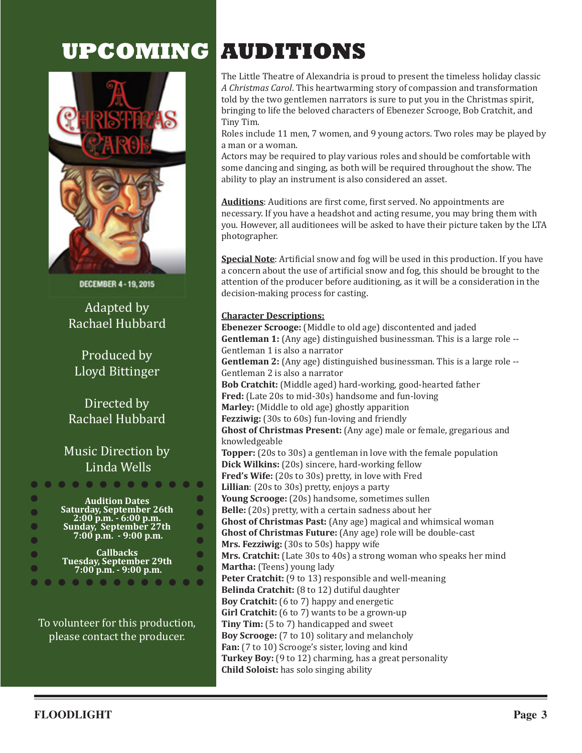# **UPCOMING AUDITIONS**



DECEMBER 4-19, 2015

Adapted by Rachael Hubbard

Produced by Lloyd Bittinger

#### Directed by Rachael Hubbard

#### Music Direction by Linda Wells



To volunteer for this production, please contact the producer.

The Little Theatre of Alexandria is proud to present the timeless holiday classic *A Christmas Carol*. This heartwarming story of compassion and transformation told by the two gentlemen narrators is sure to put you in the Christmas spirit, bringing to life the beloved characters of Ebenezer Scrooge, Bob Cratchit, and Tiny Tim.

Roles include 11 men, 7 women, and 9 young actors. Two roles may be played by a man or a woman.

Actors may be required to play various roles and should be comfortable with some dancing and singing, as both will be required throughout the show. The ability to play an instrument is also considered an asset.

**Auditions**: Auditions are first come, first served. No appointments are necessary. If you have a headshot and acting resume, you may bring them with you. However, all auditionees will be asked to have their picture taken by the LTA photographer.

**Special Note**: Artificial snow and fog will be used in this production. If you have a concern about the use of artificial snow and fog, this should be brought to the attention of the producer before auditioning, as it will be a consideration in the decision-making process for casting.

#### **Character Descriptions:**

**Ebenezer Scrooge:** (Middle to old age) discontented and jaded **Gentleman 1:** (Any age) distinguished businessman. This is a large role -- Gentleman 1 is also a narrator **Gentleman 2:** (Any age) distinguished businessman. This is a large role -- Gentleman 2 is also a narrator **Bob Cratchit:** (Middle aged) hard-working, good-hearted father **Fred:** (Late 20s to mid-30s) handsome and fun-loving **Marley:** (Middle to old age) ghostly apparition **Fezziwig:** (30s to 60s) fun-loving and friendly **Ghost of Christmas Present:** (Any age) male or female, gregarious and knowledgeable **Topper:** (20s to 30s) a gentleman in love with the female population **Dick Wilkins:** (20s) sincere, hard-working fellow **Fred's Wife:** (20s to 30s) pretty, in love with Fred **Lillian**: (20s to 30s) pretty, enjoys a party **Young Scrooge:** (20s) handsome, sometimes sullen **Belle:** (20s) pretty, with a certain sadness about her **Ghost of Christmas Past:** (Any age) magical and whimsical woman **Ghost of Christmas Future:** (Any age) role will be double-cast **Mrs. Fezziwig:** (30s to 50s) happy wife **Mrs. Cratchit:** (Late 30s to 40s) a strong woman who speaks her mind **Martha:** (Teens) young lady Peter Cratchit: (9 to 13) responsible and well-meaning **Belinda Cratchit:** (8 to 12) dutiful daughter **Boy Cratchit:** (6 to 7) happy and energetic **Girl Cratchit:** (6 to 7) wants to be a grown-up **Tiny Tim:** (5 to 7) handicapped and sweet **Boy Scrooge:** (7 to 10) solitary and melancholy **Fan:** (7 to 10) Scrooge's sister, loving and kind **Turkey Boy:** (9 to 12) charming, has a great personality **Child Soloist:** has solo singing ability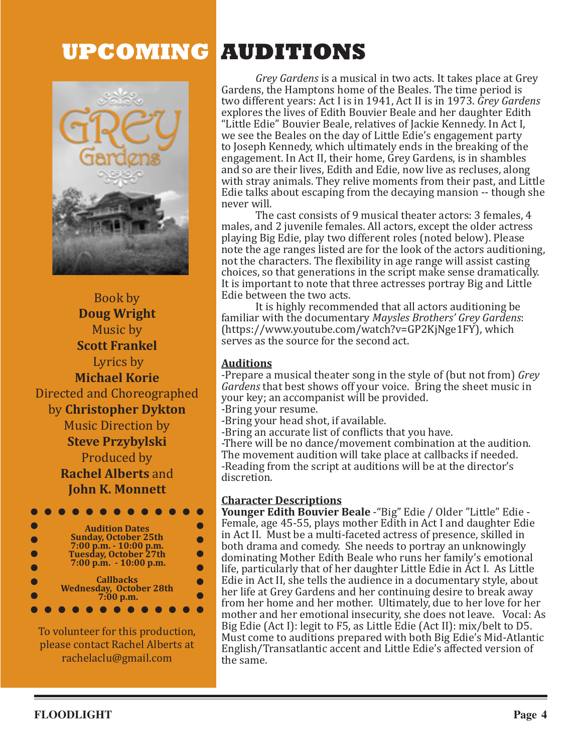

Book by **Doug Wright** Music by **Scott Frankel** Lyrics by **Michael Korie** Directed and Choreographed by **Christopher Dykton** Music Direction by **Steve Przybylski** Produced by **Rachel Alberts** and **John K. Monnett**



To volunteer for this production, please contact Rachel Alberts at rachelaclu@gmail.com

# **UPCOMING AUDITIONS**

*Grey Gardens* is a musical in two acts. It takes place at Grey Gardens, the Hamptons home of the Beales. The time period is two different years: Act I is in 1941, Act II is in 1973. *Grey Gardens* explores the lives of Edith Bouvier Beale and her daughter Edith "Little Edie" Bouvier Beale, relatives of Jackie Kennedy. In Act I, we see the Beales on the day of Little Edie's engagement party to Joseph Kennedy, which ultimately ends in the breaking of the engagement. In Act II, their home, Grey Gardens, is in shambles and so are their lives, Edith and Edie, now live as recluses, along with stray animals. They relive moments from their past, and Little Edie talks about escaping from the decaying mansion -- though she never will.

The cast consists of 9 musical theater actors: 3 females, 4 males, and 2 juvenile females. All actors, except the older actress playing Big Edie, play two different roles (noted below). Please note the age ranges listed are for the look of the actors auditioning, not the characters. The flexibility in age range will assist casting choices, so that generations in the script make sense dramatically. It is important to note that three actresses portray Big and Little Edie between the two acts.

It is highly recommended that all actors auditioning be familiar with the documentary *Maysles Brothers' Grey Gardens*: (https://www.youtube.com/watch?v=GP2KjNge1FY), which serves as the source for the second act.

#### **Auditions**

-Prepare a musical theater song in the style of (but not from) *Grey Gardens* that best shows off your voice. Bring the sheet music in your key; an accompanist will be provided.

-Bring your resume.

-Bring your head shot, if available.

-Bring an accurate list of conflicts that you have.

-There will be no dance/movement combination at the audition. The movement audition will take place at callbacks if needed. -Reading from the script at auditions will be at the director's discretion.

#### **Character Descriptions**

**Younger Edith Bouvier Beale** -"Big" Edie / Older "Little" Edie - Female, age 45-55, plays mother Edith in Act I and daughter Edie in Act II. Must be a multi-faceted actress of presence, skilled in both drama and comedy. She needs to portray an unknowingly dominating Mother Edith Beale who runs her family's emotional life, particularly that of her daughter Little Edie in Act I. As Little Edie in Act II, she tells the audience in a documentary style, about her life at Grey Gardens and her continuing desire to break away from her home and her mother. Ultimately, due to her love for her mother and her emotional insecurity, she does not leave. Vocal: As Big Edie (Act I): legit to F5, as Little Edie (Act II): mix/belt to D5. Must come to auditions prepared with both Big Edie's Mid-Atlantic English/Transatlantic accent and Little Edie's affected version of the same.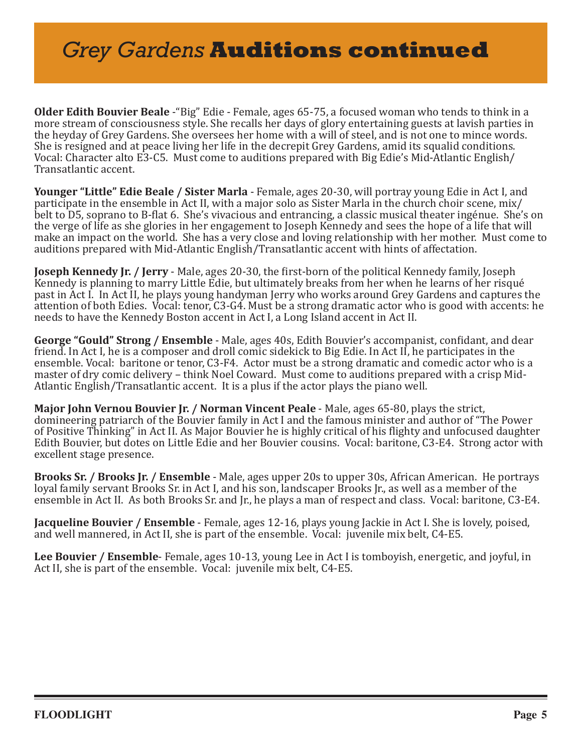# *Grey Gardens* **Auditions continued**

**Older Edith Bouvier Beale** -"Big" Edie - Female, ages 65-75, a focused woman who tends to think in a more stream of consciousness style. She recalls her days of glory entertaining guests at lavish parties in the heyday of Grey Gardens. She oversees her home with a will of steel, and is not one to mince words. She is resigned and at peace living her life in the decrepit Grey Gardens, amid its squalid conditions. Vocal: Character alto E3-C5. Must come to auditions prepared with Big Edie's Mid-Atlantic English/ Transatlantic accent.

**Younger "Little" Edie Beale / Sister Marla** - Female, ages 20-30, will portray young Edie in Act I, and participate in the ensemble in Act II, with a major solo as Sister Marla in the church choir scene, mix/ belt to D5, soprano to B-flat 6. She's vivacious and entrancing, a classic musical theater ingénue. She's on the verge of life as she glories in her engagement to Joseph Kennedy and sees the hope of a life that will make an impact on the world. She has a very close and loving relationship with her mother. Must come to auditions prepared with Mid-Atlantic English/Transatlantic accent with hints of affectation.

**Joseph Kennedy Jr. / Jerry** - Male, ages 20-30, the first-born of the political Kennedy family, Joseph Kennedy is planning to marry Little Edie, but ultimately breaks from her when he learns of her risqué past in Act I. In Act II, he plays young handyman Jerry who works around Grey Gardens and captures the attention of both Edies. Vocal: tenor, C3-G4. Must be a strong dramatic actor who is good with accents: he needs to have the Kennedy Boston accent in Act I, a Long Island accent in Act II.

**George "Gould" Strong / Ensemble** - Male, ages 40s, Edith Bouvier's accompanist, confidant, and dear friend. In Act I, he is a composer and droll comic sidekick to Big Edie. In Act II, he participates in the ensemble. Vocal: baritone or tenor, C3-F4. Actor must be a strong dramatic and comedic actor who is a master of dry comic delivery – think Noel Coward. Must come to auditions prepared with a crisp Mid-Atlantic English/Transatlantic accent. It is a plus if the actor plays the piano well.

**Major John Vernou Bouvier Jr. / Norman Vincent Peale** - Male, ages 65-80, plays the strict, domineering patriarch of the Bouvier family in Act I and the famous minister and author of "The Power of Positive Thinking" in Act II. As Major Bouvier he is highly critical of his flighty and unfocused daughter Edith Bouvier, but dotes on Little Edie and her Bouvier cousins. Vocal: baritone, C3-E4. Strong actor with excellent stage presence.

**Brooks Sr. / Brooks Jr. / Ensemble** - Male, ages upper 20s to upper 30s, African American. He portrays loyal family servant Brooks Sr. in Act I, and his son, landscaper Brooks Jr., as well as a member of the ensemble in Act II. As both Brooks Sr. and Jr., he plays a man of respect and class. Vocal: baritone, C3-E4.

**Jacqueline Bouvier / Ensemble** - Female, ages 12-16, plays young Jackie in Act I. She is lovely, poised, and well mannered, in Act II, she is part of the ensemble. Vocal: juvenile mix belt, C4-E5.

**Lee Bouvier / Ensemble**- Female, ages 10-13, young Lee in Act I is tomboyish, energetic, and joyful, in Act II, she is part of the ensemble. Vocal: juvenile mix belt, C4-E5.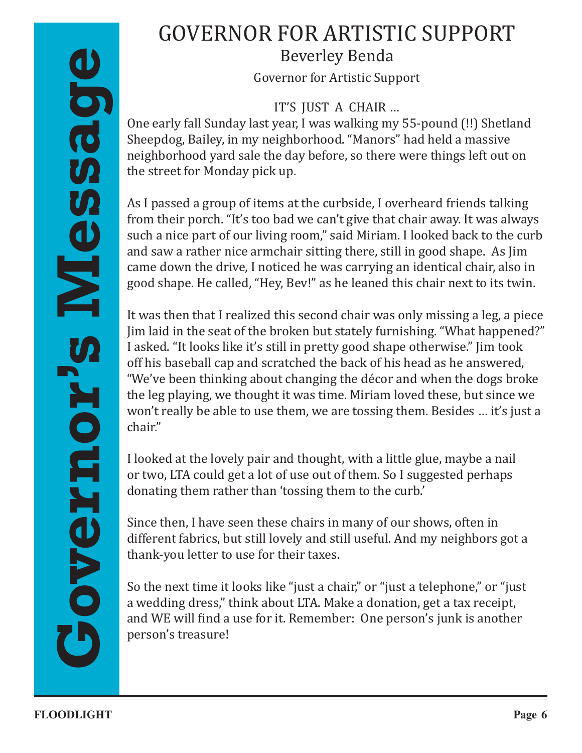## GOVERNOR FOR ARTISTIC SUPPORT Beverley Benda

Governor for Artistic Support

IT'S JUST A CHAIR …

One early fall Sunday last year, I was walking my 55-pound (!!) Shetland Sheepdog, Bailey, in my neighborhood. "Manors" had held a massive neighborhood yard sale the day before, so there were things left out on the street for Monday pick up.

As I passed a group of items at the curbside, I overheard friends talking from their porch. "It's too bad we can't give that chair away. It was always such a nice part of our living room," said Miriam. I looked back to the curb and saw a rather nice armchair sitting there, still in good shape. As Jim came down the drive, I noticed he was carrying an identical chair, also in good shape. He called, "Hey, Bev!" as he leaned this chair next to its twin.

**FLOODLIGHT**<br> **FLOODLIGHT**<br> **FLOODLIGHT**<br> **FLOODLIGHT**<br> **FLOODLIGHT**<br> **FLOODLIGHT**<br> **FLOODLIGHT**<br> **FLOODLIGHT**<br> **FLOODLIGHT**<br> **FLOODLIGHT**<br> **FLOODLIGHT**<br> **FLOODLIGHT**<br> **FLOODLIGHT**<br> **FLOODLIGHT**<br> **FLOODLIGHT**<br> **FLOODLIGHT** It was then that I realized this second chair was only missing a leg, a piece Jim laid in the seat of the broken but stately furnishing. "What happened?" I asked. "It looks like it's still in pretty good shape otherwise." Jim took off his baseball cap and scratched the back of his head as he answered, "We've been thinking about changing the décor and when the dogs broke the leg playing, we thought it was time. Miriam loved these, but since we won't really be able to use them, we are tossing them. Besides … it's just a chair."

I looked at the lovely pair and thought, with a little glue, maybe a nail or two, LTA could get a lot of use out of them. So I suggested perhaps donating them rather than 'tossing them to the curb.'

Since then, I have seen these chairs in many of our shows, often in different fabrics, but still lovely and still useful. And my neighbors got a thank-you letter to use for their taxes.

So the next time it looks like "just a chair," or "just a telephone," or "just a wedding dress," think about LTA. Make a donation, get a tax receipt, and WE will find a use for it. Remember: One person's junk is another person's treasure!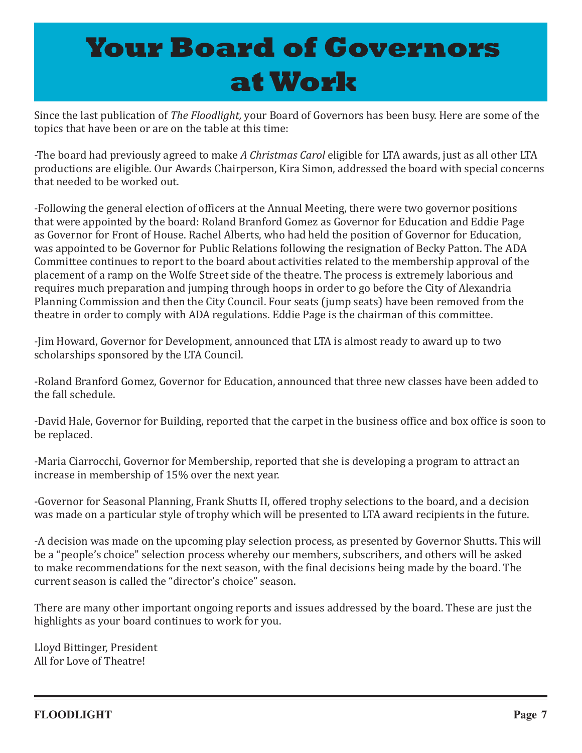# **Your Board of Governors at Work**

Since the last publication of *The Floodlight,* your Board of Governors has been busy. Here are some of the topics that have been or are on the table at this time:

-The board had previously agreed to make *A Christmas Carol* eligible for LTA awards, just as all other LTA productions are eligible. Our Awards Chairperson, Kira Simon, addressed the board with special concerns that needed to be worked out.

-Following the general election of officers at the Annual Meeting, there were two governor positions that were appointed by the board: Roland Branford Gomez as Governor for Education and Eddie Page as Governor for Front of House. Rachel Alberts, who had held the position of Governor for Education, was appointed to be Governor for Public Relations following the resignation of Becky Patton. The ADA Committee continues to report to the board about activities related to the membership approval of the placement of a ramp on the Wolfe Street side of the theatre. The process is extremely laborious and requires much preparation and jumping through hoops in order to go before the City of Alexandria Planning Commission and then the City Council. Four seats (jump seats) have been removed from the theatre in order to comply with ADA regulations. Eddie Page is the chairman of this committee.

-Jim Howard, Governor for Development, announced that LTA is almost ready to award up to two scholarships sponsored by the LTA Council.

-Roland Branford Gomez, Governor for Education, announced that three new classes have been added to the fall schedule.

-David Hale, Governor for Building, reported that the carpet in the business office and box office is soon to be replaced.

-Maria Ciarrocchi, Governor for Membership, reported that she is developing a program to attract an increase in membership of 15% over the next year.

-Governor for Seasonal Planning, Frank Shutts II, offered trophy selections to the board, and a decision was made on a particular style of trophy which will be presented to LTA award recipients in the future.

-A decision was made on the upcoming play selection process, as presented by Governor Shutts. This will be a "people's choice" selection process whereby our members, subscribers, and others will be asked to make recommendations for the next season, with the final decisions being made by the board. The current season is called the "director's choice" season.

There are many other important ongoing reports and issues addressed by the board. These are just the highlights as your board continues to work for you.

Lloyd Bittinger, President All for Love of Theatre!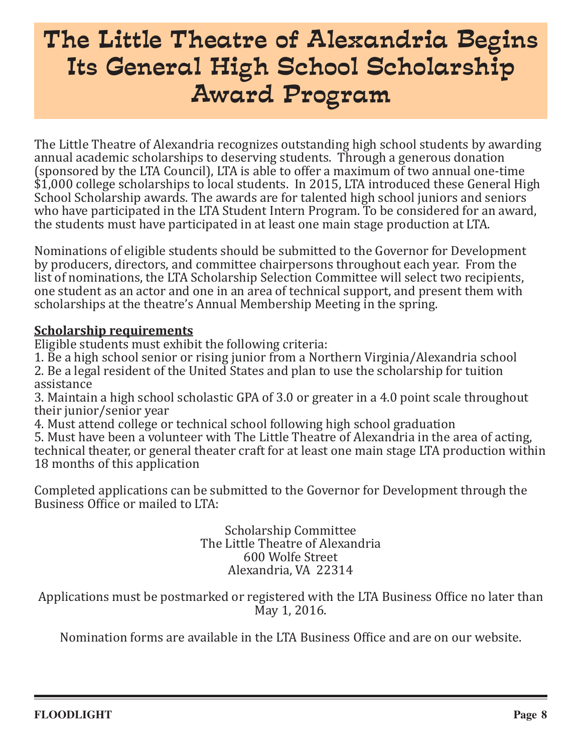# The Little Theatre of Alexandria Begins Its General High School Scholarship Award Program

The Little Theatre of Alexandria recognizes outstanding high school students by awarding annual academic scholarships to deserving students. Through a generous donation (sponsored by the LTA Council), LTA is able to offer a maximum of two annual one-time \$1,000 college scholarships to local students. In 2015, LTA introduced these General High School Scholarship awards. The awards are for talented high school juniors and seniors who have participated in the LTA Student Intern Program. To be considered for an award, the students must have participated in at least one main stage production at LTA.

Nominations of eligible students should be submitted to the Governor for Development by producers, directors, and committee chairpersons throughout each year. From the list of nominations, the LTA Scholarship Selection Committee will select two recipients, one student as an actor and one in an area of technical support, and present them with scholarships at the theatre's Annual Membership Meeting in the spring.

#### **Scholarship requirements**

Eligible students must exhibit the following criteria:

1. Be a high school senior or rising junior from a Northern Virginia/Alexandria school 2. Be a legal resident of the United States and plan to use the scholarship for tuition assistance

3. Maintain a high school scholastic GPA of 3.0 or greater in a 4.0 point scale throughout their junior/senior year

4. Must attend college or technical school following high school graduation 5. Must have been a volunteer with The Little Theatre of Alexandria in the area of acting, technical theater, or general theater craft for at least one main stage LTA production within 18 months of this application

Completed applications can be submitted to the Governor for Development through the Business Office or mailed to LTA:

> Scholarship Committee The Little Theatre of Alexandria 600 Wolfe Street Alexandria, VA 22314

Applications must be postmarked or registered with the LTA Business Office no later than May 1, 2016.

Nomination forms are available in the LTA Business Office and are on our website.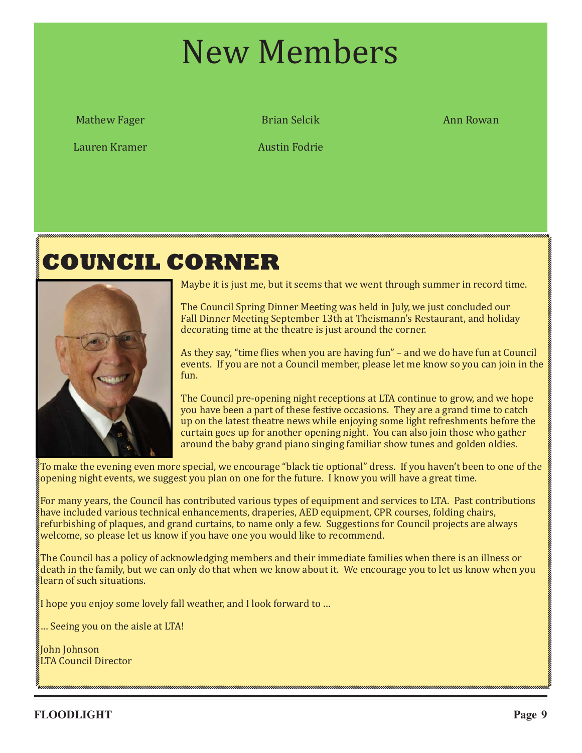# New Members

Mathew Fager

Lauren Kramer

Brian Selcik Ann Rowan

Austin Fodrie

# **COUNCIL CORNER**



Maybe it is just me, but it seems that we went through summer in record time.

The Council Spring Dinner Meeting was held in July, we just concluded our Fall Dinner Meeting September 13th at Theismann's Restaurant, and holiday decorating time at the theatre is just around the corner.

As they say, "time flies when you are having fun" – and we do have fun at Council events. If you are not a Council member, please let me know so you can join in the fun.

The Council pre-opening night receptions at LTA continue to grow, and we hope you have been a part of these festive occasions. They are a grand time to catch up on the latest theatre news while enjoying some light refreshments before the curtain goes up for another opening night. You can also join those who gather around the baby grand piano singing familiar show tunes and golden oldies.

To make the evening even more special, we encourage "black tie optional" dress. If you haven't been to one of the opening night events, we suggest you plan on one for the future. I know you will have a great time.

For many years, the Council has contributed various types of equipment and services to LTA. Past contributions have included various technical enhancements, draperies, AED equipment, CPR courses, folding chairs, refurbishing of plaques, and grand curtains, to name only a few. Suggestions for Council projects are always welcome, so please let us know if you have one you would like to recommend.

The Council has a policy of acknowledging members and their immediate families when there is an illness or death in the family, but we can only do that when we know about it. We encourage you to let us know when you learn of such situations.

I hope you enjoy some lovely fall weather, and I look forward to …

… Seeing you on the aisle at LTA!

John Johnson LTA Council Director